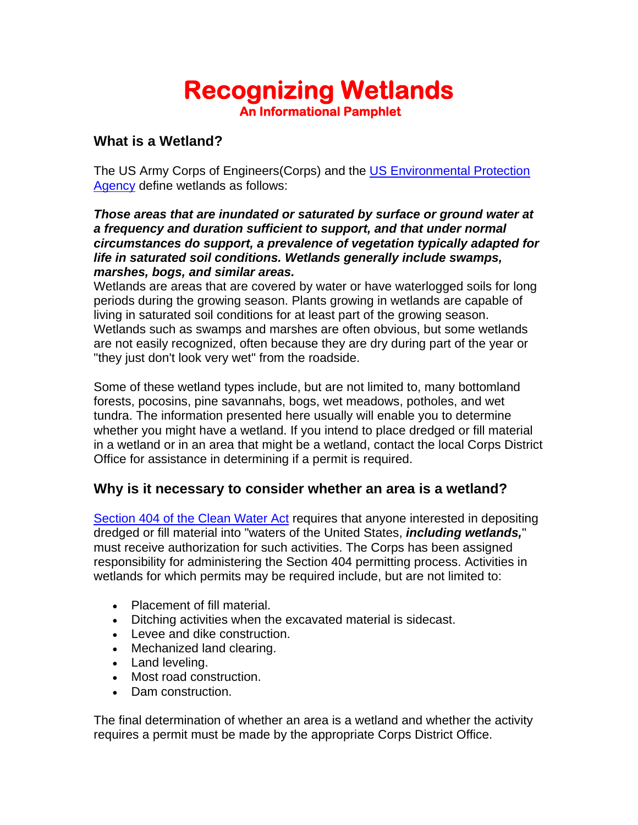# **Recognizing Wetlands An Informational Pamphlet**

#### **What is a Wetland?**

The US Army Corps of Engineers(Corps) and the [US Environmental Protection](http://www.epa.gov/)  [Agency](http://www.epa.gov/) define wetlands as follows:

#### *Those areas that are inundated or saturated by surface or ground water at a frequency and duration sufficient to support, and that under normal circumstances do support, a prevalence of vegetation typically adapted for life in saturated soil conditions. Wetlands generally include swamps, marshes, bogs, and similar areas.*

Wetlands are areas that are covered by water or have waterlogged soils for long periods during the growing season. Plants growing in wetlands are capable of living in saturated soil conditions for at least part of the growing season. Wetlands such as swamps and marshes are often obvious, but some wetlands are not easily recognized, often because they are dry during part of the year or "they just don't look very wet" from the roadside.

Some of these wetland types include, but are not limited to, many bottomland forests, pocosins, pine savannahs, bogs, wet meadows, potholes, and wet tundra. The information presented here usually will enable you to determine whether you might have a wetland. If you intend to place dredged or fill material in a wetland or in an area that might be a wetland, contact the local Corps District Office for assistance in determining if a permit is required.

# **Why is it necessary to consider whether an area is a wetland?**

Section 404 of the Clean Water Act requires that anyone interested in depositing dredged or fill material into "waters of the United States, *including wetlands,*" must receive authorization for such activities. The Corps has been assigned responsibility for administering the Section 404 permitting process. Activities in wetlands for which permits may be required include, but are not limited to:

- Placement of fill material.
- Ditching activities when the excavated material is sidecast.
- Levee and dike construction.
- Mechanized land clearing.
- Land leveling.
- Most road construction.
- Dam construction.

The final determination of whether an area is a wetland and whether the activity requires a permit must be made by the appropriate Corps District Office.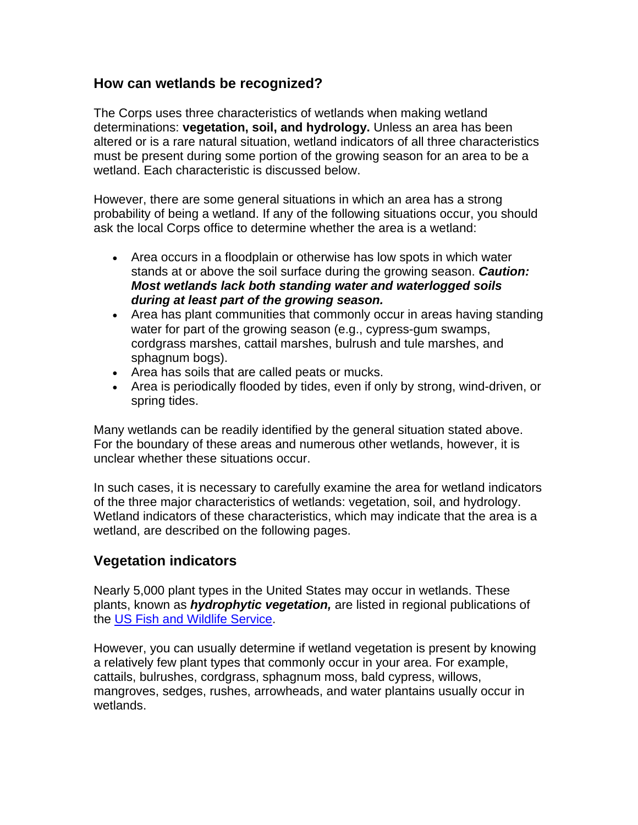#### **How can wetlands be recognized?**

The Corps uses three characteristics of wetlands when making wetland determinations: **vegetation, soil, and hydrology.** Unless an area has been altered or is a rare natural situation, wetland indicators of all three characteristics must be present during some portion of the growing season for an area to be a wetland. Each characteristic is discussed below.

However, there are some general situations in which an area has a strong probability of being a wetland. If any of the following situations occur, you should ask the local Corps office to determine whether the area is a wetland:

- Area occurs in a floodplain or otherwise has low spots in which water stands at or above the soil surface during the growing season. *Caution: Most wetlands lack both standing water and waterlogged soils during at least part of the growing season.*
- Area has plant communities that commonly occur in areas having standing water for part of the growing season (e.g., cypress-gum swamps, cordgrass marshes, cattail marshes, bulrush and tule marshes, and sphagnum bogs).
- Area has soils that are called peats or mucks.
- Area is periodically flooded by tides, even if only by strong, wind-driven, or spring tides.

Many wetlands can be readily identified by the general situation stated above. For the boundary of these areas and numerous other wetlands, however, it is unclear whether these situations occur.

In such cases, it is necessary to carefully examine the area for wetland indicators of the three major characteristics of wetlands: vegetation, soil, and hydrology. Wetland indicators of these characteristics, which may indicate that the area is a wetland, are described on the following pages.

# **Vegetation indicators**

Nearly 5,000 plant types in the United States may occur in wetlands. These plants, known as *hydrophytic vegetation,* are listed in regional publications of the [US Fish and Wildlife Service](http://www.fws.gov/).

However, you can usually determine if wetland vegetation is present by knowing a relatively few plant types that commonly occur in your area. For example, cattails, bulrushes, cordgrass, sphagnum moss, bald cypress, willows, mangroves, sedges, rushes, arrowheads, and water plantains usually occur in wetlands.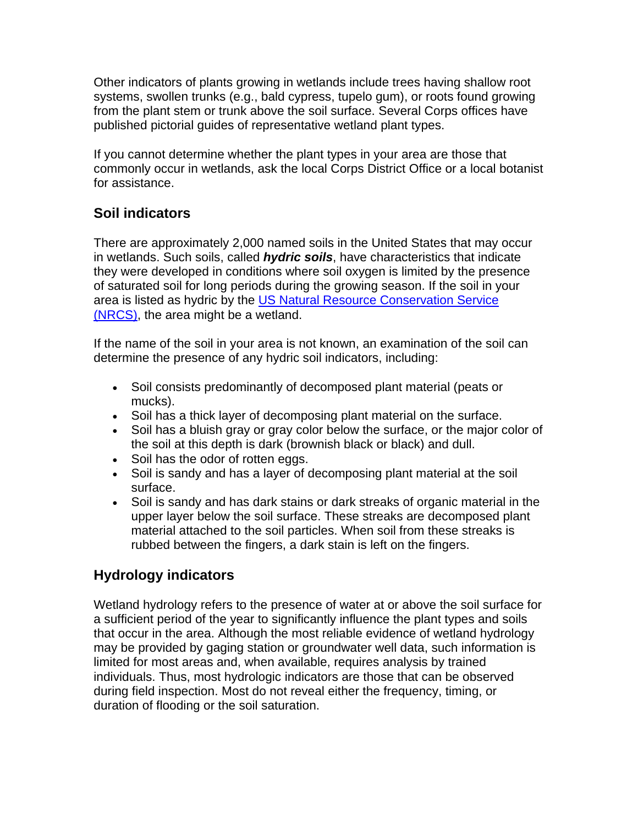Other indicators of plants growing in wetlands include trees having shallow root systems, swollen trunks (e.g., bald cypress, tupelo gum), or roots found growing from the plant stem or trunk above the soil surface. Several Corps offices have published pictorial guides of representative wetland plant types.

If you cannot determine whether the plant types in your area are those that commonly occur in wetlands, ask the local Corps District Office or a local botanist for assistance.

# **Soil indicators**

There are approximately 2,000 named soils in the United States that may occur in wetlands. Such soils, called *hydric soils*, have characteristics that indicate they were developed in conditions where soil oxygen is limited by the presence of saturated soil for long periods during the growing season. If the soil in your area is listed as hydric by the [US Natural Resource Conservation Service](http://www.nrcs.usda.gov/)  [\(NRCS\),](http://www.nrcs.usda.gov/) the area might be a wetland.

If the name of the soil in your area is not known, an examination of the soil can determine the presence of any hydric soil indicators, including:

- Soil consists predominantly of decomposed plant material (peats or mucks).
- Soil has a thick layer of decomposing plant material on the surface.
- Soil has a bluish gray or gray color below the surface, or the major color of the soil at this depth is dark (brownish black or black) and dull.
- Soil has the odor of rotten eggs.
- Soil is sandy and has a layer of decomposing plant material at the soil surface.
- Soil is sandy and has dark stains or dark streaks of organic material in the upper layer below the soil surface. These streaks are decomposed plant material attached to the soil particles. When soil from these streaks is rubbed between the fingers, a dark stain is left on the fingers.

# **Hydrology indicators**

Wetland hydrology refers to the presence of water at or above the soil surface for a sufficient period of the year to significantly influence the plant types and soils that occur in the area. Although the most reliable evidence of wetland hydrology may be provided by gaging station or groundwater well data, such information is limited for most areas and, when available, requires analysis by trained individuals. Thus, most hydrologic indicators are those that can be observed during field inspection. Most do not reveal either the frequency, timing, or duration of flooding or the soil saturation.